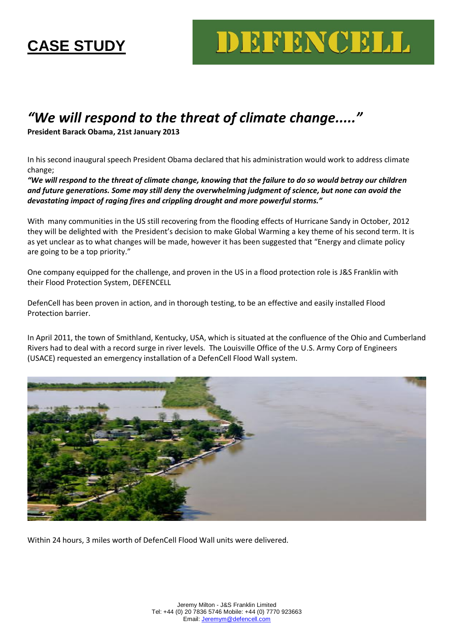## **CASE STUDY**

## DEFENCELL

## *"We will respond to the threat of climate change....."*

## **President Barack Obama, 21st January 2013**

In his second inaugural speech President Obama declared that his administration would work to address climate change;

*"We will respond to the threat of climate change, knowing that the failure to do so would betray our children and future generations. Some may still deny the overwhelming judgment of science, but none can avoid the devastating impact of raging fires and crippling drought and more powerful storms."*

With many communities in the US still recovering from the flooding effects of Hurricane Sandy in October, 2012 they will be delighted with the President's decision to make Global Warming a key theme of his second term. It is as yet unclear as to what changes will be made, however it has been suggested that "Energy and climate policy are going to be a top priority."

One company equipped for the challenge, and proven in the US in a flood protection role is J&S Franklin with their Flood Protection System, DEFENCELL

DefenCell has been proven in action, and in thorough testing, to be an effective and easily installed Flood Protection barrier.

In April 2011, the town of Smithland, Kentucky, USA, which is situated at the confluence of the Ohio and Cumberland Rivers had to deal with a record surge in river levels. The Louisville Office of the U.S. Army Corp of Engineers (USACE) requested an emergency installation of a DefenCell Flood Wall system.



Within 24 hours, 3 miles worth of DefenCell Flood Wall units were delivered.